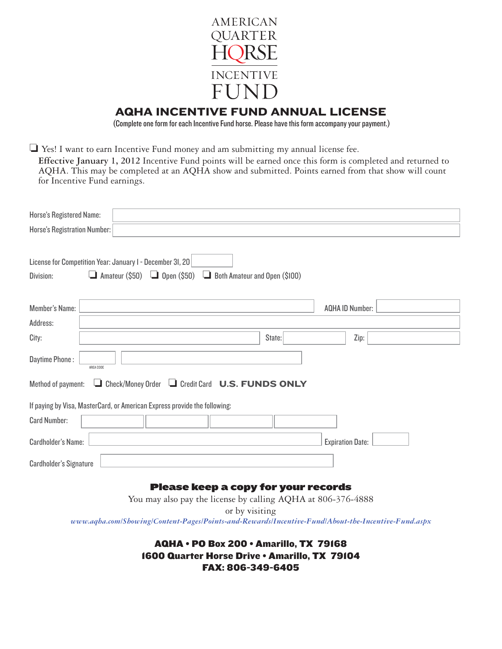

# AQHA INCENTIVE FUND ANNUAL LICENSE

(Complete one form for each Incentive Fund horse. Please have this form accompany your payment.)

 $\Box$  Yes! I want to earn Incentive Fund money and am submitting my annual license fee. **Effective January 1, 2012** Incentive Fund points will be earned once this form is completed and returned to AQHA. This may be completed at an AQHA show and submitted. Points earned from that show will count for Incentive Fund earnings.

| Horse's Registered Name:<br>Horse's Registration Number:                                                                                                   |                         |  |  |
|------------------------------------------------------------------------------------------------------------------------------------------------------------|-------------------------|--|--|
| License for Competition Year: January I - December 3I, 20<br>$\Box$ Amateur (\$50)<br>$\Box$ Open (\$50) $\Box$ Both Amateur and Open (\$100)<br>Division: |                         |  |  |
| <b>Member's Name:</b>                                                                                                                                      | <b>AQHA ID Number:</b>  |  |  |
| Address:                                                                                                                                                   |                         |  |  |
| State:<br>City:                                                                                                                                            | Zip:                    |  |  |
| Daytime Phone:<br>AREA CODE                                                                                                                                |                         |  |  |
| Check/Money Order L Credit Card U.S. FUNDS ONLY<br>Method of payment:                                                                                      |                         |  |  |
| If paying by Visa, MasterCard, or American Express provide the following:                                                                                  |                         |  |  |
| <b>Card Number:</b>                                                                                                                                        |                         |  |  |
| <b>Cardholder's Name:</b>                                                                                                                                  | <b>Expiration Date:</b> |  |  |
| <b>Cardholder's Signature</b>                                                                                                                              |                         |  |  |

# Please keep a copy for your records

You may also pay the license by calling AQHA at 806-376-4888 or by visiting *www.aqha.com/Showing/Content-Pages/Points-and-Rewards/Incentive-Fund/About-the-Incentive-Fund.aspx*

> AQHA • PO Box 200 • Amarillo, TX 79168 1600 Quarter Horse Drive • Amarillo, TX 79104 FAX: 806-349-6405